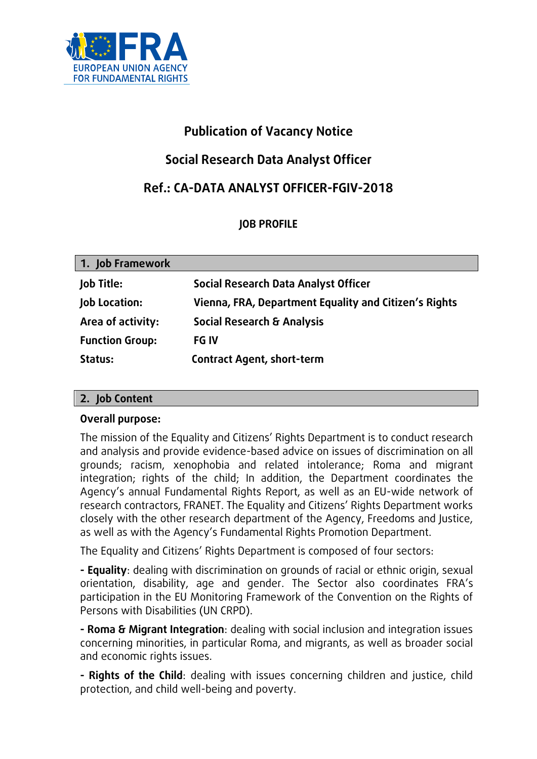

# **Publication of Vacancy Notice**

# **Social Research Data Analyst Officer**

# **Ref.: CA-DATA ANALYST OFFICER-FGIV-2018**

# **JOB PROFILE**

| 1. Job Framework       |                                                       |
|------------------------|-------------------------------------------------------|
| <b>Job Title:</b>      | Social Research Data Analyst Officer                  |
| Job Location:          | Vienna, FRA, Department Equality and Citizen's Rights |
| Area of activity:      | <b>Social Research &amp; Analysis</b>                 |
| <b>Function Group:</b> | <b>FG IV</b>                                          |
| Status:                | <b>Contract Agent, short-term</b>                     |

# **2. Job Content**

## **Overall purpose:**

The mission of the Equality and Citizens' Rights Department is to conduct research and analysis and provide evidence-based advice on issues of discrimination on all grounds; racism, xenophobia and related intolerance; Roma and migrant integration; rights of the child; In addition, the Department coordinates the Agency's annual Fundamental Rights Report, as well as an EU-wide network of research contractors, FRANET. The Equality and Citizens' Rights Department works closely with the other research department of the Agency, Freedoms and Justice, as well as with the Agency's Fundamental Rights Promotion Department.

The Equality and Citizens' Rights Department is composed of four sectors:

**- Equality**: dealing with discrimination on grounds of racial or ethnic origin, sexual orientation, disability, age and gender. The Sector also coordinates FRA's participation in the EU Monitoring Framework of the Convention on the Rights of Persons with Disabilities (UN CRPD).

**- Roma & Migrant Integration**: dealing with social inclusion and integration issues concerning minorities, in particular Roma, and migrants, as well as broader social and economic rights issues.

**- Rights of the Child**: dealing with issues concerning children and justice, child protection, and child well-being and poverty.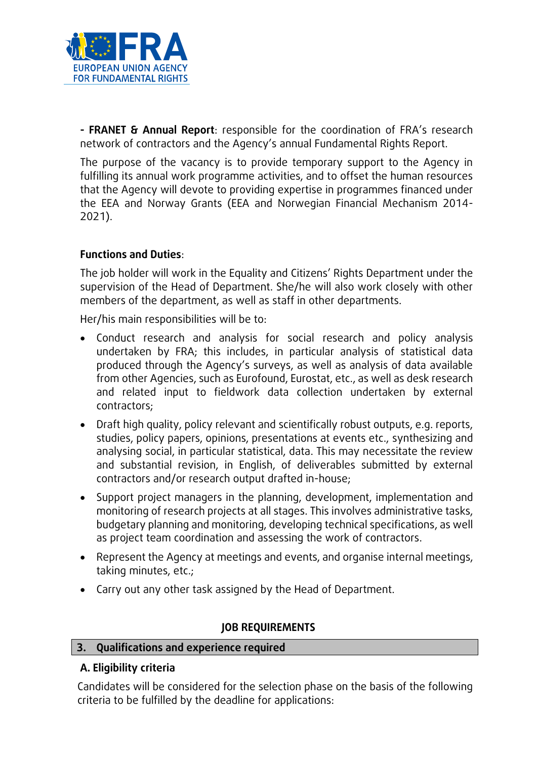

**- FRANET & Annual Report**: responsible for the coordination of FRA's research network of contractors and the Agency's annual Fundamental Rights Report.

The purpose of the vacancy is to provide temporary support to the Agency in fulfilling its annual work programme activities, and to offset the human resources that the Agency will devote to providing expertise in programmes financed under the EEA and Norway Grants (EEA and Norwegian Financial Mechanism 2014- 2021).

## **Functions and Duties**:

The job holder will work in the Equality and Citizens' Rights Department under the supervision of the Head of Department. She/he will also work closely with other members of the department, as well as staff in other departments.

Her/his main responsibilities will be to:

- Conduct research and analysis for social research and policy analysis undertaken by FRA; this includes, in particular analysis of statistical data produced through the Agency's surveys, as well as analysis of data available from other Agencies, such as Eurofound, Eurostat, etc., as well as desk research and related input to fieldwork data collection undertaken by external contractors;
- Draft high quality, policy relevant and scientifically robust outputs, e.g. reports, studies, policy papers, opinions, presentations at events etc., synthesizing and analysing social, in particular statistical, data. This may necessitate the review and substantial revision, in English, of deliverables submitted by external contractors and/or research output drafted in-house;
- Support project managers in the planning, development, implementation and monitoring of research projects at all stages. This involves administrative tasks, budgetary planning and monitoring, developing technical specifications, as well as project team coordination and assessing the work of contractors.
- Represent the Agency at meetings and events, and organise internal meetings, taking minutes, etc.;
- Carry out any other task assigned by the Head of Department.

## **JOB REQUIREMENTS**

## **3. Qualifications and experience required**

# **A. Eligibility criteria**

Candidates will be considered for the selection phase on the basis of the following criteria to be fulfilled by the deadline for applications: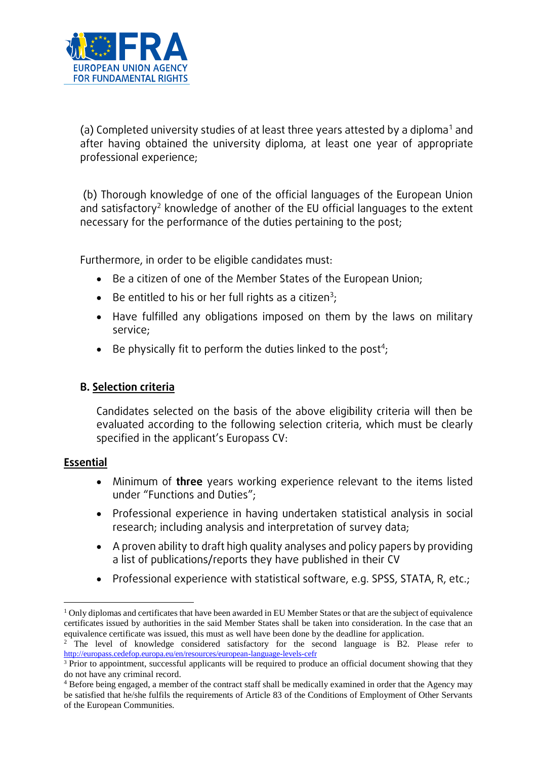

(a) Completed university studies of at least three years attested by a diploma<sup>1</sup> and after having obtained the university diploma, at least one year of appropriate professional experience;

(b) Thorough knowledge of one of the official languages of the European Union and satisfactory<sup>2</sup> knowledge of another of the EU official languages to the extent necessary for the performance of the duties pertaining to the post;

Furthermore, in order to be eligible candidates must:

- Be a citizen of one of the Member States of the European Union;
- Be entitled to his or her full rights as a citizen<sup>3</sup>;
- Have fulfilled any obligations imposed on them by the laws on military service;
- $\bullet$  Be physically fit to perform the duties linked to the post<sup>4</sup>;

# **B. Selection criteria**

Candidates selected on the basis of the above eligibility criteria will then be evaluated according to the following selection criteria, which must be clearly specified in the applicant's Europass CV:

## **Essential**

 $\overline{a}$ 

- Minimum of **three** years working experience relevant to the items listed under "Functions and Duties";
- Professional experience in having undertaken statistical analysis in social research; including analysis and interpretation of survey data;
- A proven ability to draft high quality analyses and policy papers by providing a list of publications/reports they have published in their CV
- Professional experience with statistical software, e.g. SPSS, STATA, R, etc.;

 $1$  Only diplomas and certificates that have been awarded in EU Member States or that are the subject of equivalence certificates issued by authorities in the said Member States shall be taken into consideration. In the case that an equivalence certificate was issued, this must as well have been done by the deadline for application.

<sup>&</sup>lt;sup>2</sup> The level of knowledge considered satisfactory for the second language is B2. Please refer to <http://europass.cedefop.europa.eu/en/resources/european-language-levels-cefr>

<sup>&</sup>lt;sup>3</sup> Prior to appointment, successful applicants will be required to produce an official document showing that they do not have any criminal record.

<sup>4</sup> Before being engaged, a member of the contract staff shall be medically examined in order that the Agency may be satisfied that he/she fulfils the requirements of Article 83 of the Conditions of Employment of Other Servants of the European Communities.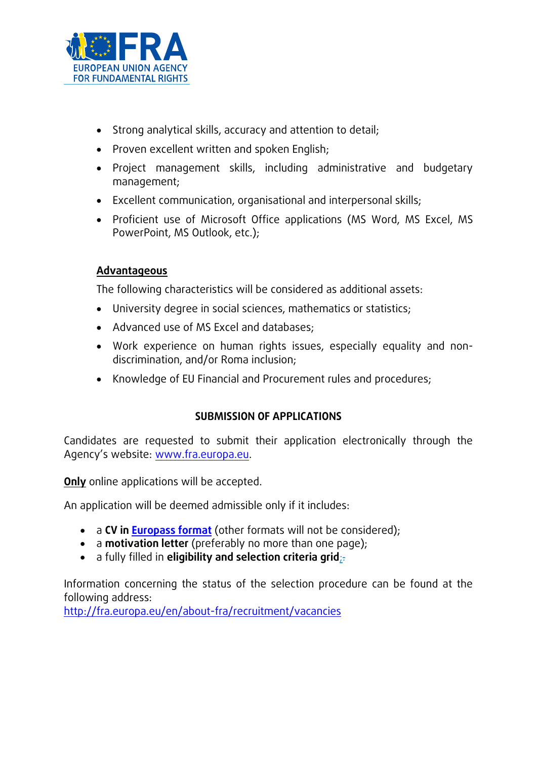

- Strong analytical skills, accuracy and attention to detail;
- Proven excellent written and spoken English;
- Project management skills, including administrative and budgetary management;
- Excellent communication, organisational and interpersonal skills;
- Proficient use of Microsoft Office applications (MS Word, MS Excel, MS PowerPoint, MS Outlook, etc.);

## **Advantageous**

The following characteristics will be considered as additional assets:

- University degree in social sciences, mathematics or statistics;
- Advanced use of MS Excel and databases;
- Work experience on human rights issues, especially equality and nondiscrimination, and/or Roma inclusion;
- Knowledge of EU Financial and Procurement rules and procedures;

# **SUBMISSION OF APPLICATIONS**

Candidates are requested to submit their application electronically through the Agency's website: [www.fra.europa.eu.](http://www.fra.europa.eu/)

**Only** online applications will be accepted.

An application will be deemed admissible only if it includes:

- a **CV in [Europass format](http://europass.cedefop.europa.eu/documents/curriculum-vitae/templates-instructions)** (other formats will not be considered);
- a **motivation letter** (preferably no more than one page);
- a fully filled in **eligibility and selection criteria grid**;.

Information concerning the status of the selection procedure can be found at the following address:

<http://fra.europa.eu/en/about-fra/recruitment/vacancies>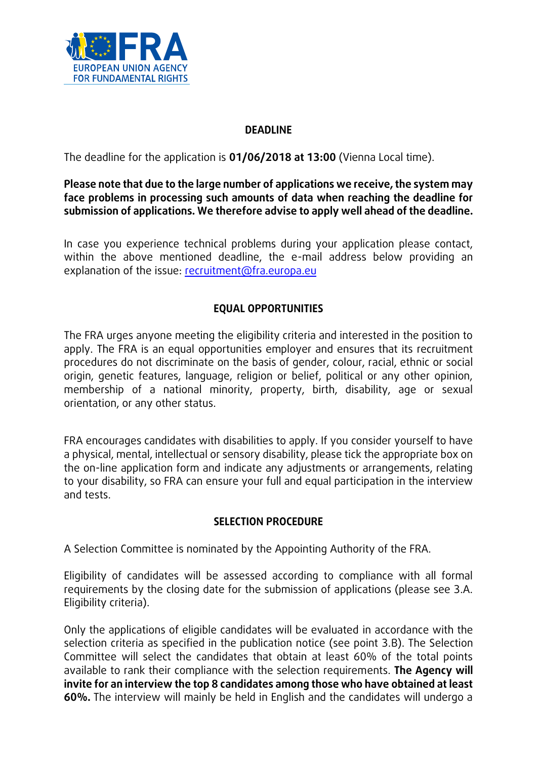

## **DEADLINE**

The deadline for the application is **01/06/2018 at 13:00** (Vienna Local time).

## **Please note that due to the large number of applications we receive, the system may face problems in processing such amounts of data when reaching the deadline for submission of applications. We therefore advise to apply well ahead of the deadline.**

In case you experience technical problems during your application please contact, within the above mentioned deadline, the e-mail address below providing an explanation of the issue: [recruitment@fra.europa.eu](mailto:recruitment@fra.europa.eu)

# **EQUAL OPPORTUNITIES**

The FRA urges anyone meeting the eligibility criteria and interested in the position to apply. The FRA is an equal opportunities employer and ensures that its recruitment procedures do not discriminate on the basis of gender, colour, racial, ethnic or social origin, genetic features, language, religion or belief, political or any other opinion, membership of a national minority, property, birth, disability, age or sexual orientation, or any other status.

FRA encourages candidates with disabilities to apply. If you consider yourself to have a physical, mental, intellectual or sensory disability, please tick the appropriate box on the on-line application form and indicate any adjustments or arrangements, relating to your disability, so FRA can ensure your full and equal participation in the interview and tests.

## **SELECTION PROCEDURE**

A Selection Committee is nominated by the Appointing Authority of the FRA.

Eligibility of candidates will be assessed according to compliance with all formal requirements by the closing date for the submission of applications (please see 3.A. Eligibility criteria).

Only the applications of eligible candidates will be evaluated in accordance with the selection criteria as specified in the publication notice (see point 3.B). The Selection Committee will select the candidates that obtain at least 60% of the total points available to rank their compliance with the selection requirements. **The Agency will invite for an interview the top 8 candidates among those who have obtained at least 60%.** The interview will mainly be held in English and the candidates will undergo a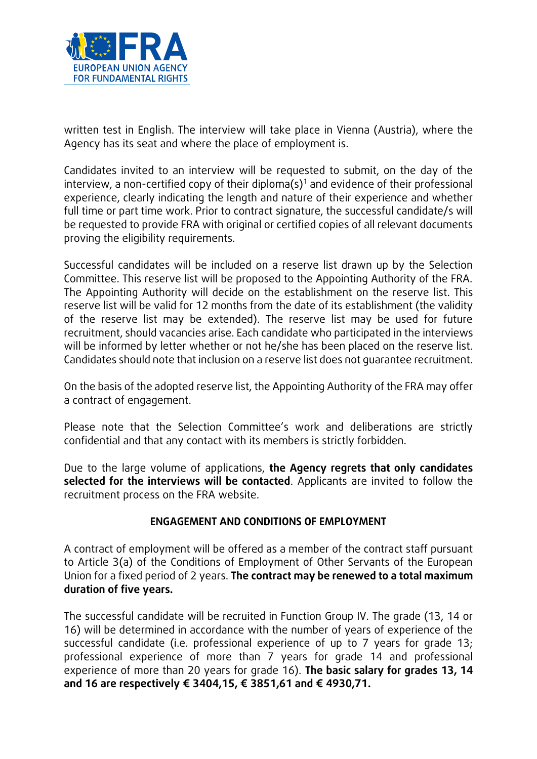

written test in English. The interview will take place in Vienna (Austria), where the Agency has its seat and where the place of employment is.

Candidates invited to an interview will be requested to submit, on the day of the interview, a non-certified copy of their diploma(s)<sup>1</sup> and evidence of their professional experience, clearly indicating the length and nature of their experience and whether full time or part time work. Prior to contract signature, the successful candidate/s will be requested to provide FRA with original or certified copies of all relevant documents proving the eligibility requirements.

Successful candidates will be included on a reserve list drawn up by the Selection Committee. This reserve list will be proposed to the Appointing Authority of the FRA. The Appointing Authority will decide on the establishment on the reserve list. This reserve list will be valid for 12 months from the date of its establishment (the validity of the reserve list may be extended). The reserve list may be used for future recruitment, should vacancies arise. Each candidate who participated in the interviews will be informed by letter whether or not he/she has been placed on the reserve list. Candidates should note that inclusion on a reserve list does not guarantee recruitment.

On the basis of the adopted reserve list, the Appointing Authority of the FRA may offer a contract of engagement.

Please note that the Selection Committee's work and deliberations are strictly confidential and that any contact with its members is strictly forbidden.

Due to the large volume of applications, **the Agency regrets that only candidates selected for the interviews will be contacted**. Applicants are invited to follow the recruitment process on the FRA website.

## **ENGAGEMENT AND CONDITIONS OF EMPLOYMENT**

A contract of employment will be offered as a member of the contract staff pursuant to Article 3(a) of the Conditions of Employment of Other Servants of the European Union for a fixed period of 2 years. **The contract may be renewed to a total maximum duration of five years.**

The successful candidate will be recruited in Function Group IV. The grade (13, 14 or 16) will be determined in accordance with the number of years of experience of the successful candidate (i.e. professional experience of up to 7 years for grade 13; professional experience of more than 7 years for grade 14 and professional experience of more than 20 years for grade 16). **The basic salary for grades 13, 14 and 16 are respectively € 3404,15, € 3851,61 and € 4930,71.**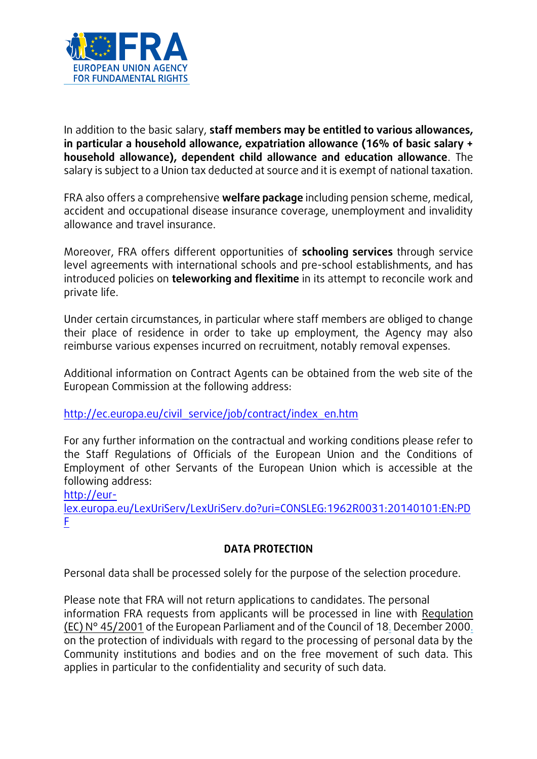

In addition to the basic salary, **staff members may be entitled to various allowances, in particular a household allowance, expatriation allowance (16% of basic salary + household allowance), dependent child allowance and education allowance**. The salary is subject to a Union tax deducted at source and it is exempt of national taxation.

FRA also offers a comprehensive **welfare package** including pension scheme, medical, accident and occupational disease insurance coverage, unemployment and invalidity allowance and travel insurance.

Moreover, FRA offers different opportunities of **schooling services** through service level agreements with international schools and pre-school establishments, and has introduced policies on **teleworking and flexitime** in its attempt to reconcile work and private life.

Under certain circumstances, in particular where staff members are obliged to change their place of residence in order to take up employment, the Agency may also reimburse various expenses incurred on recruitment, notably removal expenses.

Additional information on Contract Agents can be obtained from the web site of the European Commission at the following address:

## [http://ec.europa.eu/civil\\_service/job/contract/index\\_en.htm](http://ec.europa.eu/civil_service/job/contract/index_en.htm)

For any further information on the contractual and working conditions please refer to the Staff Regulations of Officials of the European Union and the Conditions of Employment of other Servants of the European Union which is accessible at the following address:

[http://eur-](http://eur-lex.europa.eu/LexUriServ/LexUriServ.do?uri=CONSLEG:1962R0031:20140101:EN:PDF)

[lex.europa.eu/LexUriServ/LexUriServ.do?uri=CONSLEG:1962R0031:20140101:EN:PD](http://eur-lex.europa.eu/LexUriServ/LexUriServ.do?uri=CONSLEG:1962R0031:20140101:EN:PDF) [F](http://eur-lex.europa.eu/LexUriServ/LexUriServ.do?uri=CONSLEG:1962R0031:20140101:EN:PDF)

## **DATA PROTECTION**

Personal data shall be processed solely for the purpose of the selection procedure.

Please note that FRA will not return applications to candidates. The personal information FRA requests from applicants will be processed in line with Regulation (EC) N° 45/2001 of the European Parliament and of the Council of 18. December 2000. on the protection of individuals with regard to the processing of personal data by the Community institutions and bodies and on the free movement of such data. This applies in particular to the confidentiality and security of such data.